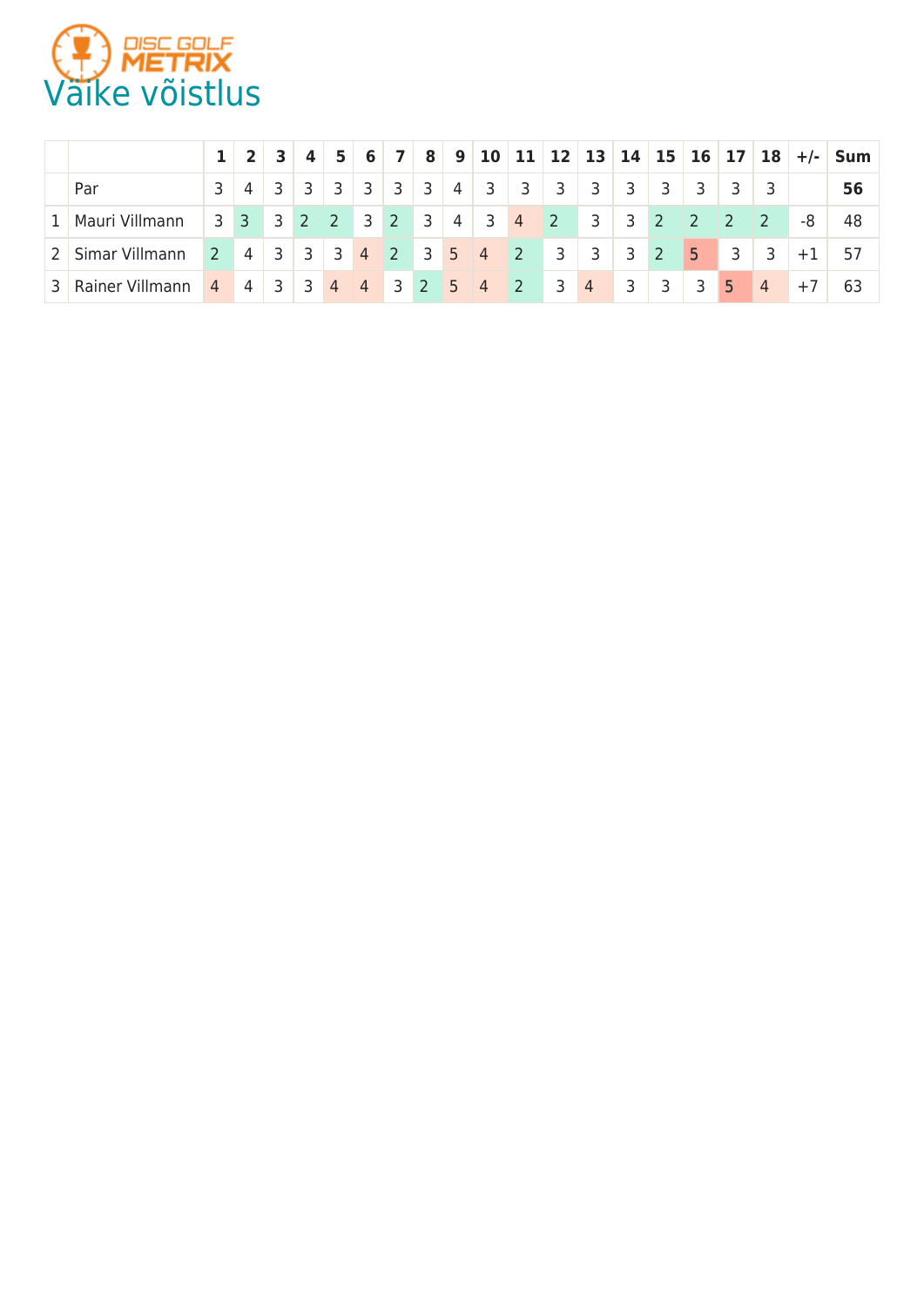

|                                         |              |                | $2 \mid 3 \mid$ |  |             |  |   |                         |                         |                         |                         |                           |                         |                |                                          |                         |      | $4 \mid 5 \mid 6 \mid 7 \mid 8 \mid 9 \mid 10 \mid 11 \mid 12 \mid 13 \mid 14 \mid 15 \mid 16 \mid 17 \mid 18 \mid +/$ |
|-----------------------------------------|--------------|----------------|-----------------|--|-------------|--|---|-------------------------|-------------------------|-------------------------|-------------------------|---------------------------|-------------------------|----------------|------------------------------------------|-------------------------|------|------------------------------------------------------------------------------------------------------------------------|
| Par                                     | $\mathbf{3}$ | $\overline{4}$ |                 |  | 3 3 3 3 3 3 |  | 4 | $\overline{\mathbf{3}}$ | $\overline{\mathbf{3}}$ | $\overline{\mathbf{3}}$ | $\overline{\mathbf{3}}$ | $\overline{\mathbf{3}}$   | $\overline{\mathbf{3}}$ | $\frac{1}{3}$  |                                          |                         |      | 56                                                                                                                     |
| 1   Mauri Villmann                      |              |                |                 |  |             |  |   | 3 3 3 2 2 3 2 3 4 3 4   |                         | $\sim$ 2                | $\blacksquare$ 3        | $3 \overline{\smash{)}2}$ |                         | $\vert$ 2      | $\sqrt{27}$                              |                         | -8   | 48                                                                                                                     |
| 2 Simar Villmann                        |              |                |                 |  |             |  |   |                         | 2 4 3 3 3 4 2 3 5 4 2   |                         | $3 \mid 3 \mid$         | $3 \mid 2$                |                         | 5 <sub>1</sub> | $\blacktriangle$ 3 $\blacktriangleright$ | $\overline{\mathbf{3}}$ | $+1$ |                                                                                                                        |
| 3 Rainer Villmann 4 4 3 3 4 4 3 2 5 4 2 |              |                |                 |  |             |  |   |                         |                         | $\overline{\mathbf{3}}$ | $\vert 4 \vert$         | $\overline{\mathbf{3}}$   | $\overline{\mathbf{3}}$ | 3 <sup>1</sup> | 5 <sup>5</sup>                           | $\sqrt{4}$              | $+7$ | 63                                                                                                                     |